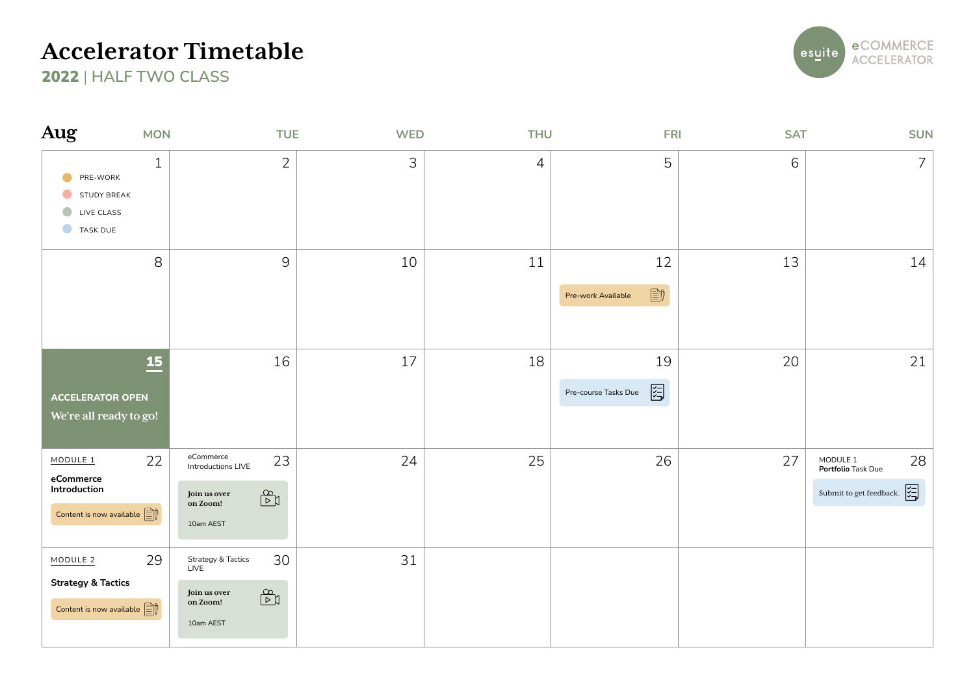

| Aug                                                                                                   | <b>MON</b>   | <b>TUE</b>                                                                                                                                       | <b>WED</b> | <b>THU</b>     | <b>FRI</b>                                                                                                                                                                                                                                                                                                                                                                      | <b>SAT</b> | <b>SUN</b>                                                                                                          |
|-------------------------------------------------------------------------------------------------------|--------------|--------------------------------------------------------------------------------------------------------------------------------------------------|------------|----------------|---------------------------------------------------------------------------------------------------------------------------------------------------------------------------------------------------------------------------------------------------------------------------------------------------------------------------------------------------------------------------------|------------|---------------------------------------------------------------------------------------------------------------------|
| PRE-WORK<br>STUDY BREAK<br>$\bullet$<br>LIVE CLASS<br>TASK DUE                                        | $\mathbf{1}$ | $\overline{2}$                                                                                                                                   | 3          | $\overline{4}$ | 5                                                                                                                                                                                                                                                                                                                                                                               | 6          | $\overline{7}$                                                                                                      |
|                                                                                                       | $\,8\,$      | $\overline{9}$                                                                                                                                   | 10         | 11             | 12<br>$\begin{picture}(20,20) \put(0,0){\line(0,1){10}} \put(15,0){\line(0,1){10}} \put(15,0){\line(0,1){10}} \put(15,0){\line(0,1){10}} \put(15,0){\line(0,1){10}} \put(15,0){\line(0,1){10}} \put(15,0){\line(0,1){10}} \put(15,0){\line(0,1){10}} \put(15,0){\line(0,1){10}} \put(15,0){\line(0,1){10}} \put(15,0){\line(0,1){10}} \put(15,0){\line(0$<br>Pre-work Available | 13         | 14                                                                                                                  |
| <b>ACCELERATOR OPEN</b><br>We're all ready to go!                                                     | 15           | 16                                                                                                                                               | 17         | 18             | 19<br>图<br>Pre-course Tasks Due                                                                                                                                                                                                                                                                                                                                                 | 20         | 21                                                                                                                  |
| MODULE <sub>1</sub><br>eCommerce<br>Introduction<br>Content is now available $\boxed{\triangleq}$     | 22           | eCommerce<br>23<br>Introductions LIVE<br>$\begin{array}{c} \mathbb{B} \\ \hline \mathbb{B} \end{array}$<br>Join us over<br>on Zoom!<br>10am AEST | 24         | 25             | 26                                                                                                                                                                                                                                                                                                                                                                              | 27         | MODULE 1<br>28<br>Portfolio Task Due<br>Submit to get feedback. $\begin{array}{c} \sqrt{2} \\ \sqrt{2} \end{array}$ |
| MODULE <sub>2</sub><br><b>Strategy &amp; Tactics</b><br>Content is now available $\boxed{\triangleq}$ | 29           | 30<br><b>Strategy &amp; Tactics</b><br>LIVE<br>$\mathbb{S}^2$<br>Join us over<br>on Zoom!<br>10am AEST                                           | 31         |                |                                                                                                                                                                                                                                                                                                                                                                                 |            |                                                                                                                     |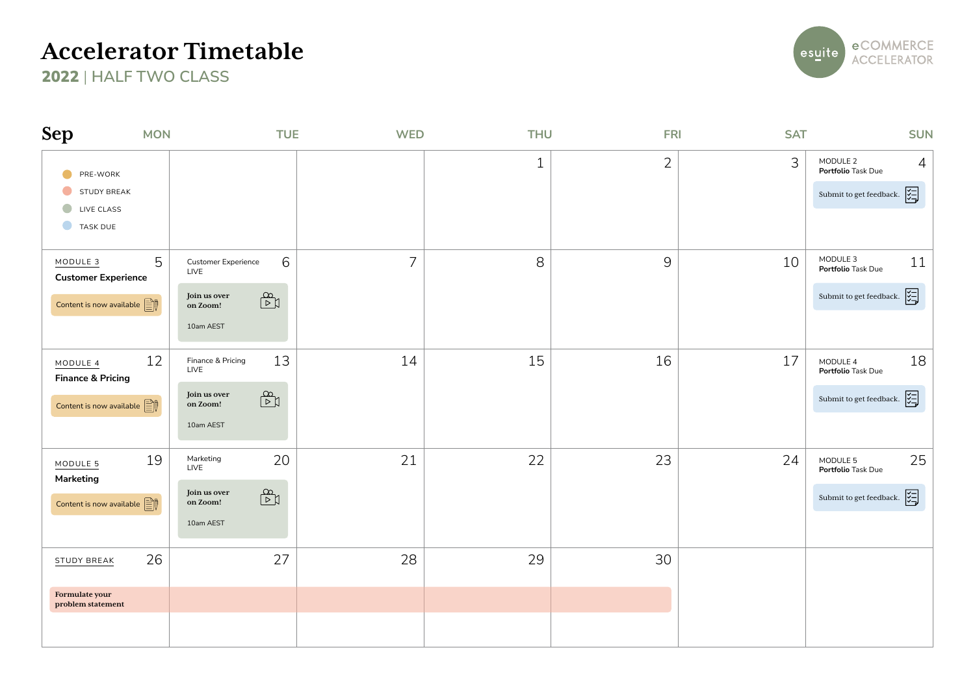

| <b>Sep</b>                                                                                            | <b>MON</b> | <b>TUE</b>                                                                                                                                  | <b>WED</b>     | <b>THU</b>   | <b>FRI</b>     | <b>SAT</b> | <b>SUN</b>                                                                                                                                   |
|-------------------------------------------------------------------------------------------------------|------------|---------------------------------------------------------------------------------------------------------------------------------------------|----------------|--------------|----------------|------------|----------------------------------------------------------------------------------------------------------------------------------------------|
| PRE-WORK<br>STUDY BREAK<br>$\bigcirc$<br>LIVE CLASS<br>TASK DUE                                       |            |                                                                                                                                             |                | $\mathbf{1}$ | $\overline{2}$ | 3          | MODULE 2<br>$\overline{4}$<br>Portfolio Task Due<br>Submit to get feedback. $\begin{bmatrix} \sqrt{1} \\ \sqrt{1} \\ \sqrt{1} \end{bmatrix}$ |
| MODULE <sub>3</sub><br><b>Customer Experience</b><br>Content is now available $\mathbb{E} \mathbb{F}$ | 5          | 6<br>Customer Experience<br>LIVE<br>$\begin{array}{c} \mathbb{B} \\ \hline \mathbb{B} \end{array}$<br>Join us over<br>on Zoom!<br>10am AEST | $\overline{7}$ | 8            | $\mathsf{9}$   | 10         | MODULE 3<br>11<br>Portfolio Task Due<br>Submit to get feedback. $\begin{bmatrix} \downarrow \\ \downarrow \end{bmatrix}$                     |
| MODULE 4<br><b>Finance &amp; Pricing</b><br>Content is now available $\mathbb{E}$                     | 12         | 13<br>Finance & Pricing<br>LIVE<br>$\mathbb{B}^2$<br>Join us over<br>on Zoom!<br>10am AEST                                                  | 14             | 15           | 16             | 17         | 18<br>MODULE 4<br>Portfolio Task Due<br>Submit to get feedback. $\begin{bmatrix} \sqrt{1} \\ \sqrt{1} \\ \sqrt{1} \end{bmatrix}$             |
| MODULE 5<br>Marketing<br>Content is now available $\boxed{\triangleq}$                                | 19         | 20<br>Marketing<br>LIVE<br>$\mathbb{B}^2$<br>Join us over<br>on Zoom!<br>10am AEST                                                          | 21             | 22           | 23             | 24         | 25<br>MODULE 5<br>Portfolio Task Due<br>Submit to get feedback. $\begin{bmatrix} \downarrow \\ \downarrow \end{bmatrix}$                     |
| STUDY BREAK<br>Formulate your<br>problem statement                                                    | 26         | 27                                                                                                                                          | 28             | 29           | 30             |            |                                                                                                                                              |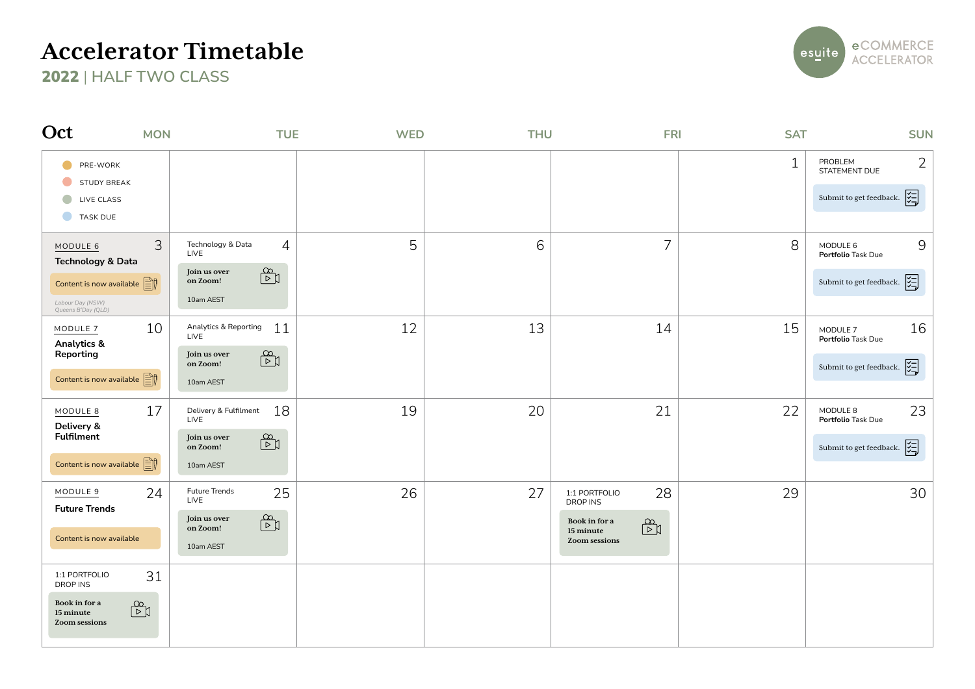

| Oct                                                                                                                                 | <b>MON</b>           | <b>TUE</b>                                                                                                                                         | <b>WED</b> | <b>THU</b> | <b>FRI</b>                                                                                            | <b>SAT</b> | <b>SUN</b>                                                                                                                       |
|-------------------------------------------------------------------------------------------------------------------------------------|----------------------|----------------------------------------------------------------------------------------------------------------------------------------------------|------------|------------|-------------------------------------------------------------------------------------------------------|------------|----------------------------------------------------------------------------------------------------------------------------------|
| PRE-WORK<br><b>STUDY BREAK</b><br>LIVE CLASS<br>$\bullet$<br><b>TASK DUE</b>                                                        |                      |                                                                                                                                                    |            |            |                                                                                                       | 1          | 2<br>PROBLEM<br>STATEMENT DUE<br>Submit to get feedback. $\begin{bmatrix} \sqrt{1} \\ \sqrt{1} \\ \sqrt{1} \end{bmatrix}$        |
| MODULE 6<br><b>Technology &amp; Data</b><br>Content is now available $\boxed{\triangleq}$<br>Labour Day (NSW)<br>Queens B'Day (QLD) | 3                    | $\overline{4}$<br>Technology & Data<br>LIVE<br>पैत्र<br>Join us over<br>on Zoom!<br>10am AEST                                                      | 5          | 6          | $\overline{7}$                                                                                        | 8          | 9<br>MODULE 6<br>Portfolio Task Due<br>罔<br>Submit to get feedback.                                                              |
| MODULE 7<br>Analytics &<br>Reporting<br>Content is now available $\boxed{\triangleq}$                                               | 10                   | 11<br>Analytics & Reporting<br>LIVE<br>$\begin{array}{c} \mathbb{R}^d \\ \hline \mathbb{R}^d \end{array}$<br>Join us over<br>on Zoom!<br>10am AEST | 12         | 13         | 14                                                                                                    | 15         | 16<br>MODULE 7<br>Portfolio Task Due<br>Submit to get feedback. $\begin{bmatrix} \sqrt{1} \\ \sqrt{1} \\ \sqrt{1} \end{bmatrix}$ |
| MODULE 8<br>Delivery &<br><b>Fulfilment</b><br>Content is now available $\mathbb{E}$                                                | 17                   | 18<br>Delivery & Fulfilment<br>LIVE<br>$\begin{array}{c} \mathbb{R}^d \\ \hline \mathbb{R}^d \end{array}$<br>Join us over<br>on Zoom!<br>10am AEST | 19         | 20         | 21                                                                                                    | 22         | 23<br>MODULE 8<br>Portfolio Task Due<br>Submit to get feedback. $\begin{bmatrix} \downarrow \\ \downarrow \end{bmatrix}$         |
| MODULE 9<br><b>Future Trends</b><br>Content is now available                                                                        | 24                   | Future Trends<br>25<br>LIVE<br>पैत्र<br>Join us over<br>on Zoom!<br>10am AEST                                                                      | 26         | 27         | 28<br>1:1 PORTFOLIO<br><b>DROP INS</b><br>Book in for a<br>पैर्व<br>15 minute<br><b>Zoom sessions</b> | 29         | 30                                                                                                                               |
| 1:1 PORTFOLIO<br>DROP INS<br>Book in for a<br>15 minute<br><b>Zoom sessions</b>                                                     | 31<br>$\mathbb{B}^2$ |                                                                                                                                                    |            |            |                                                                                                       |            |                                                                                                                                  |